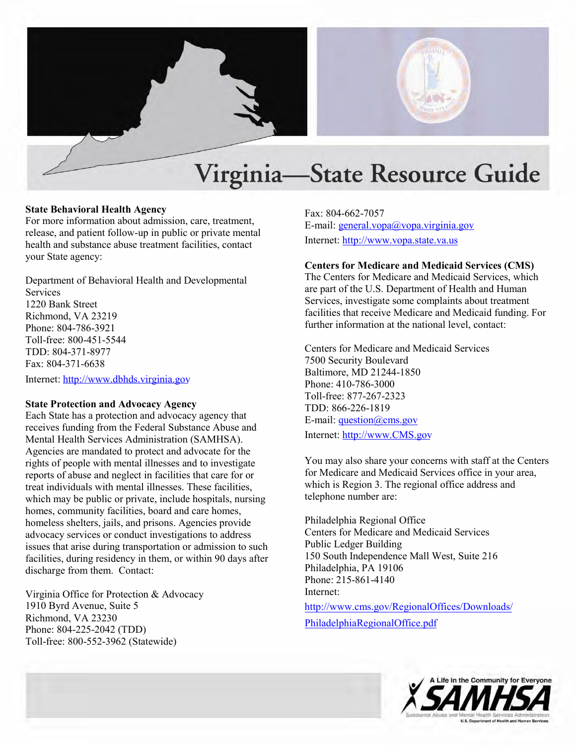

## **State Behavioral Health Agency**

For more information about admission, care, treatment, release, and patient follow-up in public or private mental health and substance abuse treatment facilities, contact your State agency:

 Department of Behavioral Health and Developmental **Services** 1220 Bank Street Richmond, VA 23219 Phone: 804-786-3921 Toll-free: 800-451-5544 TDD: 804-371-8977 Fax: 804-371-6638

Internet: http://www.dbhds.virginia.gov

# **State Protection and Advocacy Agency**

 receives funding from the Federal Substance Abuse and reports of abuse and neglect in facilities that care for or Each State has a protection and advocacy agency that Mental Health Services Administration (SAMHSA). Agencies are mandated to protect and advocate for the rights of people with mental illnesses and to investigate treat individuals with mental illnesses. These facilities, which may be public or private, include hospitals, nursing homes, community facilities, board and care homes, homeless shelters, jails, and prisons. Agencies provide advocacy services or conduct investigations to address issues that arise during transportation or admission to such facilities, during residency in them, or within 90 days after discharge from them. Contact: State **behavioral reactive**<br>
For three information about admission, care, treatment, Fax: 804-662-7057<br>
For three information about admission, care, treatment, E-mail: <u>enerative</u><br>
For the information about admission, car

Toll-free: 800-552-3962 (Statewide) Virginia Office for Protection & Advocacy 1910 Byrd Avenue, Suite 5 Richmond, VA 23230 Phone: 804-225-2042 (TDD)

E-mail[: general.vopa@vopa.virginia.gov](mailto:general.vopa@dsa.state.va.us)  Internet:<http://www.vopa.state.va.us>

### **Centers for Medicare and Medicaid Services (CMS)**

 are part of the U.S. Department of Health and Human Services, investigate some complaints about treatment facilities that receive Medicare and Medicaid funding. For The Centers for Medicare and Medicaid Services, which further information at the national level, contact:

Centers for Medicare and Medicaid Services 7500 Security Boulevard Baltimore, MD 21244-1850 Phone: 410-786-3000 Toll-free: 877-267-2323 TDD: 866-226-1819 E-mail: question@cms.gov Internet:<http://www.CMS.gov>

 You may also share your concerns with staff at the Centers for Medicare and Medicaid Services office in your area, which is Region 3. The regional office address and telephone number are:

Philadelphia Regional Office Centers for Medicare and Medicaid Services Public Ledger Building 150 South Independence Mall West, Suite 216 Philadelphia, PA 19106 Phone: 215-861-4140 Internet:

[http://www.cms.gov/RegionalOffices/Downloads/](http://www.cms.gov/RegionalOffices/Downloads/PhiladelphiaRegionalOffice.pdf)  [PhiladelphiaRegionalOffice.pdf](http://www.cms.gov/RegionalOffices/Downloads/PhiladelphiaRegionalOffice.pdf) 

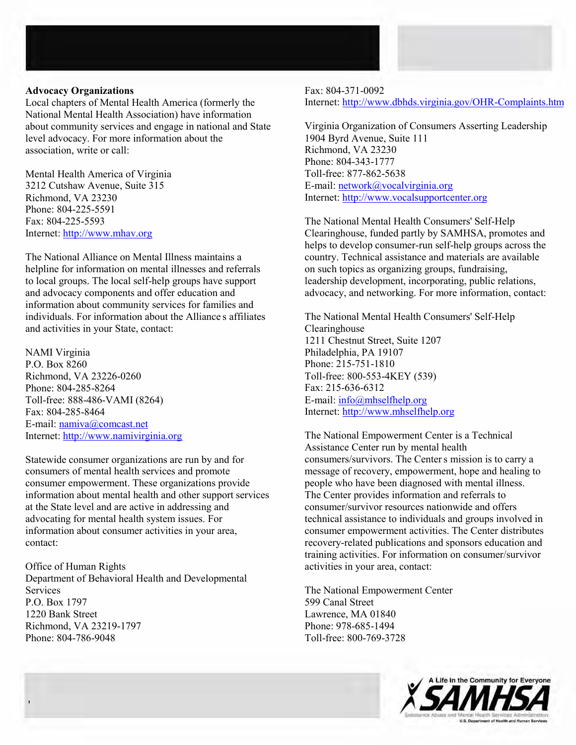#### **Advocacy Organizations**

'

Local chapters of Mental Health America (formerly the National Mental Health Association) have information about community services and engage in national and State level advocacy. For more information about the association, write or call:

Mental Health America of Virginia 3212 Cutshaw Avenue, Suite 315 Richmond, VA 23230 Phone: 804-225-5591 Fax: 804-225-5593 Internet: [http://www.mhav.org](http://www.mhav.org/)

' individuals. For information about the Alliance s affiliates The National Alliance on Mental Illness maintains a helpline for information on mental illnesses and referrals to local groups. The local self-help groups have support and advocacy components and offer education and information about community services for families and and activities in your State, contact:

NAMI Virginia P.O. Box 8260 Richmond, VA 23226-0260 Phone: 804-285-8264 Toll-free: 888-486-VAMI (8264) Fax: 804-285-8464 E-mail: [namiva@comcast.net](mailto:namiva@comcast.net) Internet:<http://www.namivirginia.org>

Statewide consumer organizations are run by and for consumers of mental health services and promote consumer empowerment. These organizations provide information about mental health and other support services at the State level and are active in addressing and advocating for mental health system issues. For information about consumer activities in your area, contact:

Office of Human Rights Department of Behavioral Health and Developmental Services P.O. Box 1797 1220 Bank Street Richmond, VA 23219-1797 Phone: 804-786-9048

Fax: 804-371-0092 Internet:<http://www.dbhds.virginia.gov/OHR-Complaints.htm>

Virginia Organization of Consumers Asserting Leadership 1904 Byrd Avenue, Suite 111 Richmond, VA 23230 Phone: 804-343-1777 Toll-free: 877-862-5638 E-mail: [network@vocalvirginia.org](mailto:network@vocalvirginia.org) Internet: [http://www.vocalsupportcenter.org](http://www.vocalsupportcenter.org/)

The National Mental Health Consumers' Self-Help Clearinghouse, funded partly by SAMHSA, promotes and helps to develop consumer-run self-help groups across the country. Technical assistance and materials are available on such topics as organizing groups, fundraising, leadership development, incorporating, public relations, advocacy, and networking. For more information, contact:

The National Mental Health Consumers' Self-Help Clearinghouse 1211 Chestnut Street, Suite 1207 Philadelphia, PA 19107 Phone: 215-751-1810 Toll-free: 800-553-4KEY (539) Fax: 215-636-6312 E-mail[: info@mhselfhelp.org](mailto:info@mhselfhelp.org)  Internet:<http://www.mhselfhelp.org>

' consumers/survivors. The Centers mission is to carry a The National Empowerment Center is a Technical Assistance Center run by mental health message of recovery, empowerment, hope and healing to people who have been diagnosed with mental illness. The Center provides information and referrals to consumer/survivor resources nationwide and offers technical assistance to individuals and groups involved in consumer empowerment activities. The Center distributes recovery-related publications and sponsors education and training activities. For information on consumer/survivor activities in your area, contact:

The National Empowerment Center 599 Canal Street Lawrence, MA 01840 Phone: 978-685-1494 Toll-free: 800-769-3728